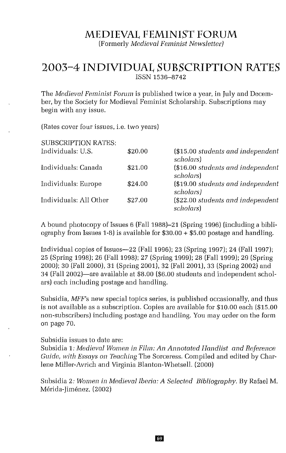# **MEDIEVAL FEMINIST FORUM**

(Formerly *Medieval Feminist Newsletter)*

# **2003-4 INDIVIDUAL SUBSCRIPTION RATES** ISSN 1536-8742

The *Medieval Feminist Forum* is published twice a year, in July and December, by the Society for Medieval Feminist Scholarship. Subscriptions may begin with any issue.

(Rates cover four issues, i.e. two years)

| <b>SUBSCRIPTION RATES:</b> |         |                                                |
|----------------------------|---------|------------------------------------------------|
| Individuals: U.S.          | \$20.00 | (\$15.00 students and independent<br>scholars) |
| Individuals: Canada        | \$21.00 | (\$16.00 students and independent<br>scholars) |
| Individuals: Europe        | \$24.00 | (\$19.00 students and independent<br>scholars) |
| Individuals: All Other     | \$27.00 | (\$22.00 students and independent<br>scholars) |

A bound photocopy of Issues 6 (Fall 1988)-21 (Spring 1996) (including a bibliography from Issues 1-8) is available for \$30.00 + \$5.00 postage and handling.

Individual copies of Issues-22 (Fall 1996); 23 (Spring 1997); 24 (Fall 1997); 25 (Spring 1998); 26 (Fall 1998); 27 (Spring 1999); 28 (Fall 1999); 29 (Spring 2000); 30 (Fall 2000), 31 (Spring 2001), 32 (Fall 2001), 33 (Spring 2002) and 34 (Fall 2002)-are available at \$8.00 (\$6.00 students and independent scholars) each including postage and handling.

Subsidia, *MFF's* new special topics series, is published occasionally, and thus is not available as a subscription. Copies are available for \$10.00 each (\$15.00 non-subscribers) including postage and handling. You may order on the form on page 70.

#### Subsidia issues to date are:

Subsidia 1: *Medieval Women in Film: An Annotated Handlist and Reference Guide, with Essays on Teaching* The Sorceress. Compiled and edited by Charlene Miller-Avrich and Virginia Blanton-Whetsell. (2000)

Subsidia 2: *Women in Medieval Iberia: A Selected Bibliography.* By Rafael M. Mérida-Jiménez. (2002)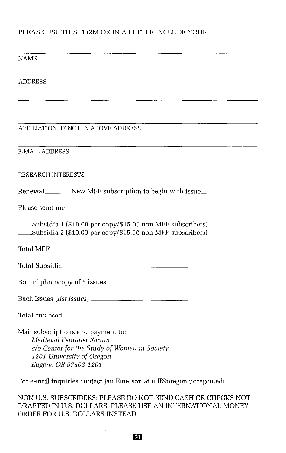## PLEASE USE THIS FORM OR IN A LETTER INCLUDE YOUR

### NAME

#### ADDRESS

### AFFILIATION, IF NOT IN ABOVE ADDRESS

### E-MAIL ADDRESS

#### RESEARCH INTERESTS

Renewal\_\_\_\_\_\_\_ New MFF subscription to begin with issue\_\_\_\_\_

Please send me

\_\_Subsidia <sup>1</sup> (\$10.00 per copy/\$15.00 non MFF subscribers) \_\_Subsidia <sup>2</sup> (\$10.00 per copy/\$15.00 non MFF subscribers)

Total MFF

Total Subsidia

Bound photocopy of 6 issues

| Back Issues (list issues) |  |  |
|---------------------------|--|--|
|                           |  |  |

Total enclosed

Mail subscriptions and payment to: *Medieval Feminist Forum* c/o *Center for the Study of Women in Society 1201 University of Oregon Eugene OR 97403-1201*

For e-mail inquiries contact Jan Emerson at mff@oregon.uoregon.edu

NON U.S. SUBSCRIBERS: PLEASE DO NOT SEND CASH OR CHECKS NOT DRAFTED IN U.S. DOLLARS. PLEASE USE AN INTERNATIONAL MONEY ORDER FOR U.S. DOLLARS INSTEAD.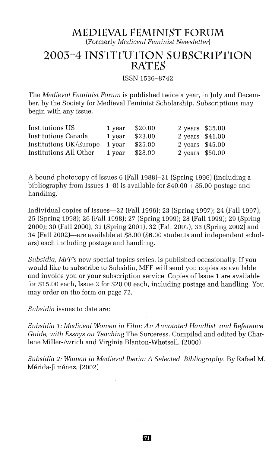# **MEDIEVAL FEMINIST FORUM**

(Formerly *Medieval Feminist Newsletter)*

# **2003-4 INSTITUTION SUBSCRIPTION RATES**

#### ISSN 1536-8742

The *Medieval Feminist Forum* is published twice a year, in July and December, by the Society for Medieval Feminist Scholarship. Subscriptions may begin with any issue.

| Institutions US        | 1 year | \$20.00 | 2 years \$35.00 |  |
|------------------------|--------|---------|-----------------|--|
| Institutions Canada    | 1 year | \$23.00 | 2 years \$41.00 |  |
| Institutions UK/Europe | 1 year | \$25.00 | 2 years \$45.00 |  |
| Institutions All Other | 1 year | \$28.00 | 2 years \$50.00 |  |

A bound photocopy of Issues 6 (Fall 1988)-21 (Spring 1996) (including a bibliography from Issues 1–8) is available for  $$40.00 + $5.00$  postage and handling,

Individual copies of Issues-22 (Fall 1996); 23 (Spring 1997); 24 (Fall 1997); 25 (Spring 1998); 26 (Fall 1998); 27 (Spring 1999); 28 (Fall 1999); 29 (Spring 2000); 30 (Fall 2000), 31 (Spring 2001), 32 (Fall 2001), 33 (Spring 2002) and 34 (Fall 2002)-are available at \$8,00 (\$6.00 students and independent scholars) each including postage and handling.

*Subsidia, MFF's* new special topics series, is published occasionally, If you would like to subscribe to Subsidia, MFF will send you copies as available and invoice you or your subscription service, Copies of Issue 1 are available for \$15.00 each, Issue 2 for \$20,00 each, including postage and handling. You may order on the form on page 72.

*Subsidia* issues to date are:

*Subsidia* 1: *Medieval Women in Film: An Annotated Handlist and Reference Guide, with Essays on Teaching* The Sorceress. Compiled and edited by Charlene Miller-Avrich and Virginia Blanton-Whetsell. (2000)

*Subsidic* 2: *Women in Medieval Iberia: A Selected Bibliography.* By Rafael M. Merida-jimenez. (2002)